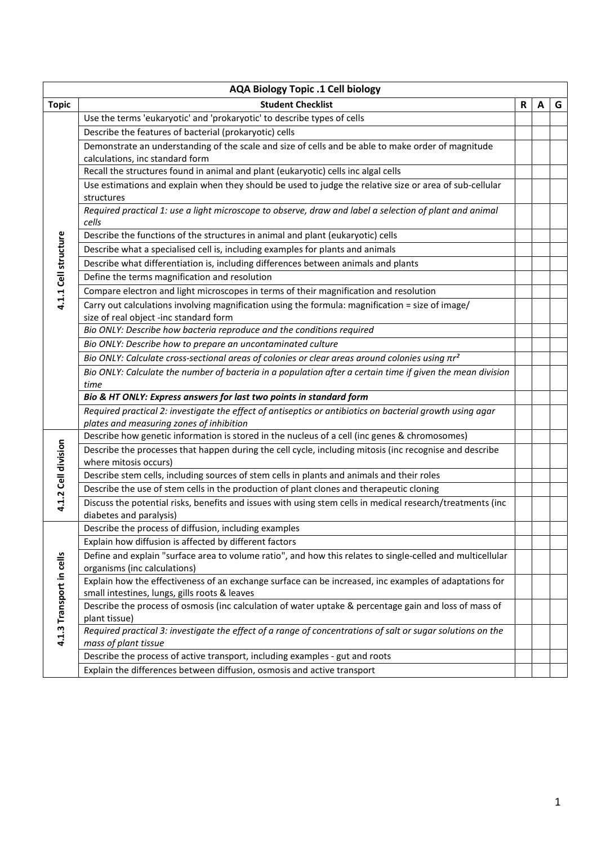| <b>Student Checklist</b><br><b>Topic</b><br>R<br>G<br>А<br>Use the terms 'eukaryotic' and 'prokaryotic' to describe types of cells<br>Describe the features of bacterial (prokaryotic) cells<br>Demonstrate an understanding of the scale and size of cells and be able to make order of magnitude<br>calculations, inc standard form<br>Recall the structures found in animal and plant (eukaryotic) cells inc algal cells<br>Use estimations and explain when they should be used to judge the relative size or area of sub-cellular<br>structures<br>Required practical 1: use a light microscope to observe, draw and label a selection of plant and animal<br>cells<br>4.1.1 Cell structure<br>Describe the functions of the structures in animal and plant (eukaryotic) cells<br>Describe what a specialised cell is, including examples for plants and animals<br>Describe what differentiation is, including differences between animals and plants<br>Define the terms magnification and resolution<br>Compare electron and light microscopes in terms of their magnification and resolution<br>Carry out calculations involving magnification using the formula: magnification = size of image/<br>size of real object -inc standard form<br>Bio ONLY: Describe how bacteria reproduce and the conditions required<br>Bio ONLY: Describe how to prepare an uncontaminated culture<br>Bio ONLY: Calculate cross-sectional areas of colonies or clear areas around colonies using $\pi r^2$<br>Bio ONLY: Calculate the number of bacteria in a population after a certain time if given the mean division<br>time<br>Bio & HT ONLY: Express answers for last two points in standard form<br>Required practical 2: investigate the effect of antiseptics or antibiotics on bacterial growth using agar<br>plates and measuring zones of inhibition<br>Describe how genetic information is stored in the nucleus of a cell (inc genes & chromosomes)<br>4.1.2 Cell division<br>Describe the processes that happen during the cell cycle, including mitosis (inc recognise and describe<br>where mitosis occurs)<br>Describe stem cells, including sources of stem cells in plants and animals and their roles<br>Describe the use of stem cells in the production of plant clones and therapeutic cloning<br>Discuss the potential risks, benefits and issues with using stem cells in medical research/treatments (inc<br>diabetes and paralysis) |                          | <b>AQA Biology Topic .1 Cell biology</b>              |  |  |  |  |  |
|----------------------------------------------------------------------------------------------------------------------------------------------------------------------------------------------------------------------------------------------------------------------------------------------------------------------------------------------------------------------------------------------------------------------------------------------------------------------------------------------------------------------------------------------------------------------------------------------------------------------------------------------------------------------------------------------------------------------------------------------------------------------------------------------------------------------------------------------------------------------------------------------------------------------------------------------------------------------------------------------------------------------------------------------------------------------------------------------------------------------------------------------------------------------------------------------------------------------------------------------------------------------------------------------------------------------------------------------------------------------------------------------------------------------------------------------------------------------------------------------------------------------------------------------------------------------------------------------------------------------------------------------------------------------------------------------------------------------------------------------------------------------------------------------------------------------------------------------------------------------------------------------------------------------------------------------------------------------------------------------------------------------------------------------------------------------------------------------------------------------------------------------------------------------------------------------------------------------------------------------------------------------------------------------------------------------------------------------------------------------------------------------------------------------------------------------------------|--------------------------|-------------------------------------------------------|--|--|--|--|--|
|                                                                                                                                                                                                                                                                                                                                                                                                                                                                                                                                                                                                                                                                                                                                                                                                                                                                                                                                                                                                                                                                                                                                                                                                                                                                                                                                                                                                                                                                                                                                                                                                                                                                                                                                                                                                                                                                                                                                                                                                                                                                                                                                                                                                                                                                                                                                                                                                                                                          |                          |                                                       |  |  |  |  |  |
|                                                                                                                                                                                                                                                                                                                                                                                                                                                                                                                                                                                                                                                                                                                                                                                                                                                                                                                                                                                                                                                                                                                                                                                                                                                                                                                                                                                                                                                                                                                                                                                                                                                                                                                                                                                                                                                                                                                                                                                                                                                                                                                                                                                                                                                                                                                                                                                                                                                          |                          |                                                       |  |  |  |  |  |
|                                                                                                                                                                                                                                                                                                                                                                                                                                                                                                                                                                                                                                                                                                                                                                                                                                                                                                                                                                                                                                                                                                                                                                                                                                                                                                                                                                                                                                                                                                                                                                                                                                                                                                                                                                                                                                                                                                                                                                                                                                                                                                                                                                                                                                                                                                                                                                                                                                                          |                          |                                                       |  |  |  |  |  |
|                                                                                                                                                                                                                                                                                                                                                                                                                                                                                                                                                                                                                                                                                                                                                                                                                                                                                                                                                                                                                                                                                                                                                                                                                                                                                                                                                                                                                                                                                                                                                                                                                                                                                                                                                                                                                                                                                                                                                                                                                                                                                                                                                                                                                                                                                                                                                                                                                                                          |                          |                                                       |  |  |  |  |  |
|                                                                                                                                                                                                                                                                                                                                                                                                                                                                                                                                                                                                                                                                                                                                                                                                                                                                                                                                                                                                                                                                                                                                                                                                                                                                                                                                                                                                                                                                                                                                                                                                                                                                                                                                                                                                                                                                                                                                                                                                                                                                                                                                                                                                                                                                                                                                                                                                                                                          |                          |                                                       |  |  |  |  |  |
|                                                                                                                                                                                                                                                                                                                                                                                                                                                                                                                                                                                                                                                                                                                                                                                                                                                                                                                                                                                                                                                                                                                                                                                                                                                                                                                                                                                                                                                                                                                                                                                                                                                                                                                                                                                                                                                                                                                                                                                                                                                                                                                                                                                                                                                                                                                                                                                                                                                          |                          |                                                       |  |  |  |  |  |
|                                                                                                                                                                                                                                                                                                                                                                                                                                                                                                                                                                                                                                                                                                                                                                                                                                                                                                                                                                                                                                                                                                                                                                                                                                                                                                                                                                                                                                                                                                                                                                                                                                                                                                                                                                                                                                                                                                                                                                                                                                                                                                                                                                                                                                                                                                                                                                                                                                                          |                          |                                                       |  |  |  |  |  |
|                                                                                                                                                                                                                                                                                                                                                                                                                                                                                                                                                                                                                                                                                                                                                                                                                                                                                                                                                                                                                                                                                                                                                                                                                                                                                                                                                                                                                                                                                                                                                                                                                                                                                                                                                                                                                                                                                                                                                                                                                                                                                                                                                                                                                                                                                                                                                                                                                                                          |                          |                                                       |  |  |  |  |  |
|                                                                                                                                                                                                                                                                                                                                                                                                                                                                                                                                                                                                                                                                                                                                                                                                                                                                                                                                                                                                                                                                                                                                                                                                                                                                                                                                                                                                                                                                                                                                                                                                                                                                                                                                                                                                                                                                                                                                                                                                                                                                                                                                                                                                                                                                                                                                                                                                                                                          |                          |                                                       |  |  |  |  |  |
|                                                                                                                                                                                                                                                                                                                                                                                                                                                                                                                                                                                                                                                                                                                                                                                                                                                                                                                                                                                                                                                                                                                                                                                                                                                                                                                                                                                                                                                                                                                                                                                                                                                                                                                                                                                                                                                                                                                                                                                                                                                                                                                                                                                                                                                                                                                                                                                                                                                          |                          |                                                       |  |  |  |  |  |
|                                                                                                                                                                                                                                                                                                                                                                                                                                                                                                                                                                                                                                                                                                                                                                                                                                                                                                                                                                                                                                                                                                                                                                                                                                                                                                                                                                                                                                                                                                                                                                                                                                                                                                                                                                                                                                                                                                                                                                                                                                                                                                                                                                                                                                                                                                                                                                                                                                                          |                          |                                                       |  |  |  |  |  |
|                                                                                                                                                                                                                                                                                                                                                                                                                                                                                                                                                                                                                                                                                                                                                                                                                                                                                                                                                                                                                                                                                                                                                                                                                                                                                                                                                                                                                                                                                                                                                                                                                                                                                                                                                                                                                                                                                                                                                                                                                                                                                                                                                                                                                                                                                                                                                                                                                                                          |                          |                                                       |  |  |  |  |  |
|                                                                                                                                                                                                                                                                                                                                                                                                                                                                                                                                                                                                                                                                                                                                                                                                                                                                                                                                                                                                                                                                                                                                                                                                                                                                                                                                                                                                                                                                                                                                                                                                                                                                                                                                                                                                                                                                                                                                                                                                                                                                                                                                                                                                                                                                                                                                                                                                                                                          |                          |                                                       |  |  |  |  |  |
|                                                                                                                                                                                                                                                                                                                                                                                                                                                                                                                                                                                                                                                                                                                                                                                                                                                                                                                                                                                                                                                                                                                                                                                                                                                                                                                                                                                                                                                                                                                                                                                                                                                                                                                                                                                                                                                                                                                                                                                                                                                                                                                                                                                                                                                                                                                                                                                                                                                          |                          |                                                       |  |  |  |  |  |
|                                                                                                                                                                                                                                                                                                                                                                                                                                                                                                                                                                                                                                                                                                                                                                                                                                                                                                                                                                                                                                                                                                                                                                                                                                                                                                                                                                                                                                                                                                                                                                                                                                                                                                                                                                                                                                                                                                                                                                                                                                                                                                                                                                                                                                                                                                                                                                                                                                                          |                          |                                                       |  |  |  |  |  |
|                                                                                                                                                                                                                                                                                                                                                                                                                                                                                                                                                                                                                                                                                                                                                                                                                                                                                                                                                                                                                                                                                                                                                                                                                                                                                                                                                                                                                                                                                                                                                                                                                                                                                                                                                                                                                                                                                                                                                                                                                                                                                                                                                                                                                                                                                                                                                                                                                                                          |                          |                                                       |  |  |  |  |  |
|                                                                                                                                                                                                                                                                                                                                                                                                                                                                                                                                                                                                                                                                                                                                                                                                                                                                                                                                                                                                                                                                                                                                                                                                                                                                                                                                                                                                                                                                                                                                                                                                                                                                                                                                                                                                                                                                                                                                                                                                                                                                                                                                                                                                                                                                                                                                                                                                                                                          |                          |                                                       |  |  |  |  |  |
|                                                                                                                                                                                                                                                                                                                                                                                                                                                                                                                                                                                                                                                                                                                                                                                                                                                                                                                                                                                                                                                                                                                                                                                                                                                                                                                                                                                                                                                                                                                                                                                                                                                                                                                                                                                                                                                                                                                                                                                                                                                                                                                                                                                                                                                                                                                                                                                                                                                          |                          |                                                       |  |  |  |  |  |
|                                                                                                                                                                                                                                                                                                                                                                                                                                                                                                                                                                                                                                                                                                                                                                                                                                                                                                                                                                                                                                                                                                                                                                                                                                                                                                                                                                                                                                                                                                                                                                                                                                                                                                                                                                                                                                                                                                                                                                                                                                                                                                                                                                                                                                                                                                                                                                                                                                                          |                          |                                                       |  |  |  |  |  |
|                                                                                                                                                                                                                                                                                                                                                                                                                                                                                                                                                                                                                                                                                                                                                                                                                                                                                                                                                                                                                                                                                                                                                                                                                                                                                                                                                                                                                                                                                                                                                                                                                                                                                                                                                                                                                                                                                                                                                                                                                                                                                                                                                                                                                                                                                                                                                                                                                                                          |                          |                                                       |  |  |  |  |  |
|                                                                                                                                                                                                                                                                                                                                                                                                                                                                                                                                                                                                                                                                                                                                                                                                                                                                                                                                                                                                                                                                                                                                                                                                                                                                                                                                                                                                                                                                                                                                                                                                                                                                                                                                                                                                                                                                                                                                                                                                                                                                                                                                                                                                                                                                                                                                                                                                                                                          |                          |                                                       |  |  |  |  |  |
|                                                                                                                                                                                                                                                                                                                                                                                                                                                                                                                                                                                                                                                                                                                                                                                                                                                                                                                                                                                                                                                                                                                                                                                                                                                                                                                                                                                                                                                                                                                                                                                                                                                                                                                                                                                                                                                                                                                                                                                                                                                                                                                                                                                                                                                                                                                                                                                                                                                          |                          |                                                       |  |  |  |  |  |
|                                                                                                                                                                                                                                                                                                                                                                                                                                                                                                                                                                                                                                                                                                                                                                                                                                                                                                                                                                                                                                                                                                                                                                                                                                                                                                                                                                                                                                                                                                                                                                                                                                                                                                                                                                                                                                                                                                                                                                                                                                                                                                                                                                                                                                                                                                                                                                                                                                                          |                          |                                                       |  |  |  |  |  |
|                                                                                                                                                                                                                                                                                                                                                                                                                                                                                                                                                                                                                                                                                                                                                                                                                                                                                                                                                                                                                                                                                                                                                                                                                                                                                                                                                                                                                                                                                                                                                                                                                                                                                                                                                                                                                                                                                                                                                                                                                                                                                                                                                                                                                                                                                                                                                                                                                                                          |                          |                                                       |  |  |  |  |  |
|                                                                                                                                                                                                                                                                                                                                                                                                                                                                                                                                                                                                                                                                                                                                                                                                                                                                                                                                                                                                                                                                                                                                                                                                                                                                                                                                                                                                                                                                                                                                                                                                                                                                                                                                                                                                                                                                                                                                                                                                                                                                                                                                                                                                                                                                                                                                                                                                                                                          |                          |                                                       |  |  |  |  |  |
|                                                                                                                                                                                                                                                                                                                                                                                                                                                                                                                                                                                                                                                                                                                                                                                                                                                                                                                                                                                                                                                                                                                                                                                                                                                                                                                                                                                                                                                                                                                                                                                                                                                                                                                                                                                                                                                                                                                                                                                                                                                                                                                                                                                                                                                                                                                                                                                                                                                          |                          |                                                       |  |  |  |  |  |
|                                                                                                                                                                                                                                                                                                                                                                                                                                                                                                                                                                                                                                                                                                                                                                                                                                                                                                                                                                                                                                                                                                                                                                                                                                                                                                                                                                                                                                                                                                                                                                                                                                                                                                                                                                                                                                                                                                                                                                                                                                                                                                                                                                                                                                                                                                                                                                                                                                                          |                          |                                                       |  |  |  |  |  |
|                                                                                                                                                                                                                                                                                                                                                                                                                                                                                                                                                                                                                                                                                                                                                                                                                                                                                                                                                                                                                                                                                                                                                                                                                                                                                                                                                                                                                                                                                                                                                                                                                                                                                                                                                                                                                                                                                                                                                                                                                                                                                                                                                                                                                                                                                                                                                                                                                                                          |                          |                                                       |  |  |  |  |  |
|                                                                                                                                                                                                                                                                                                                                                                                                                                                                                                                                                                                                                                                                                                                                                                                                                                                                                                                                                                                                                                                                                                                                                                                                                                                                                                                                                                                                                                                                                                                                                                                                                                                                                                                                                                                                                                                                                                                                                                                                                                                                                                                                                                                                                                                                                                                                                                                                                                                          |                          |                                                       |  |  |  |  |  |
|                                                                                                                                                                                                                                                                                                                                                                                                                                                                                                                                                                                                                                                                                                                                                                                                                                                                                                                                                                                                                                                                                                                                                                                                                                                                                                                                                                                                                                                                                                                                                                                                                                                                                                                                                                                                                                                                                                                                                                                                                                                                                                                                                                                                                                                                                                                                                                                                                                                          |                          |                                                       |  |  |  |  |  |
|                                                                                                                                                                                                                                                                                                                                                                                                                                                                                                                                                                                                                                                                                                                                                                                                                                                                                                                                                                                                                                                                                                                                                                                                                                                                                                                                                                                                                                                                                                                                                                                                                                                                                                                                                                                                                                                                                                                                                                                                                                                                                                                                                                                                                                                                                                                                                                                                                                                          | 4.1.3 Transport in cells | Describe the process of diffusion, including examples |  |  |  |  |  |
| Explain how diffusion is affected by different factors                                                                                                                                                                                                                                                                                                                                                                                                                                                                                                                                                                                                                                                                                                                                                                                                                                                                                                                                                                                                                                                                                                                                                                                                                                                                                                                                                                                                                                                                                                                                                                                                                                                                                                                                                                                                                                                                                                                                                                                                                                                                                                                                                                                                                                                                                                                                                                                                   |                          |                                                       |  |  |  |  |  |
| Define and explain "surface area to volume ratio", and how this relates to single-celled and multicellular                                                                                                                                                                                                                                                                                                                                                                                                                                                                                                                                                                                                                                                                                                                                                                                                                                                                                                                                                                                                                                                                                                                                                                                                                                                                                                                                                                                                                                                                                                                                                                                                                                                                                                                                                                                                                                                                                                                                                                                                                                                                                                                                                                                                                                                                                                                                               |                          |                                                       |  |  |  |  |  |
| organisms (inc calculations)                                                                                                                                                                                                                                                                                                                                                                                                                                                                                                                                                                                                                                                                                                                                                                                                                                                                                                                                                                                                                                                                                                                                                                                                                                                                                                                                                                                                                                                                                                                                                                                                                                                                                                                                                                                                                                                                                                                                                                                                                                                                                                                                                                                                                                                                                                                                                                                                                             |                          |                                                       |  |  |  |  |  |
| Explain how the effectiveness of an exchange surface can be increased, inc examples of adaptations for                                                                                                                                                                                                                                                                                                                                                                                                                                                                                                                                                                                                                                                                                                                                                                                                                                                                                                                                                                                                                                                                                                                                                                                                                                                                                                                                                                                                                                                                                                                                                                                                                                                                                                                                                                                                                                                                                                                                                                                                                                                                                                                                                                                                                                                                                                                                                   |                          |                                                       |  |  |  |  |  |
| small intestines, lungs, gills roots & leaves                                                                                                                                                                                                                                                                                                                                                                                                                                                                                                                                                                                                                                                                                                                                                                                                                                                                                                                                                                                                                                                                                                                                                                                                                                                                                                                                                                                                                                                                                                                                                                                                                                                                                                                                                                                                                                                                                                                                                                                                                                                                                                                                                                                                                                                                                                                                                                                                            |                          |                                                       |  |  |  |  |  |
| Describe the process of osmosis (inc calculation of water uptake & percentage gain and loss of mass of                                                                                                                                                                                                                                                                                                                                                                                                                                                                                                                                                                                                                                                                                                                                                                                                                                                                                                                                                                                                                                                                                                                                                                                                                                                                                                                                                                                                                                                                                                                                                                                                                                                                                                                                                                                                                                                                                                                                                                                                                                                                                                                                                                                                                                                                                                                                                   |                          |                                                       |  |  |  |  |  |
| plant tissue)                                                                                                                                                                                                                                                                                                                                                                                                                                                                                                                                                                                                                                                                                                                                                                                                                                                                                                                                                                                                                                                                                                                                                                                                                                                                                                                                                                                                                                                                                                                                                                                                                                                                                                                                                                                                                                                                                                                                                                                                                                                                                                                                                                                                                                                                                                                                                                                                                                            |                          |                                                       |  |  |  |  |  |
| Required practical 3: investigate the effect of a range of concentrations of salt or sugar solutions on the                                                                                                                                                                                                                                                                                                                                                                                                                                                                                                                                                                                                                                                                                                                                                                                                                                                                                                                                                                                                                                                                                                                                                                                                                                                                                                                                                                                                                                                                                                                                                                                                                                                                                                                                                                                                                                                                                                                                                                                                                                                                                                                                                                                                                                                                                                                                              |                          |                                                       |  |  |  |  |  |
| mass of plant tissue<br>Describe the process of active transport, including examples - gut and roots                                                                                                                                                                                                                                                                                                                                                                                                                                                                                                                                                                                                                                                                                                                                                                                                                                                                                                                                                                                                                                                                                                                                                                                                                                                                                                                                                                                                                                                                                                                                                                                                                                                                                                                                                                                                                                                                                                                                                                                                                                                                                                                                                                                                                                                                                                                                                     |                          |                                                       |  |  |  |  |  |
| Explain the differences between diffusion, osmosis and active transport                                                                                                                                                                                                                                                                                                                                                                                                                                                                                                                                                                                                                                                                                                                                                                                                                                                                                                                                                                                                                                                                                                                                                                                                                                                                                                                                                                                                                                                                                                                                                                                                                                                                                                                                                                                                                                                                                                                                                                                                                                                                                                                                                                                                                                                                                                                                                                                  |                          |                                                       |  |  |  |  |  |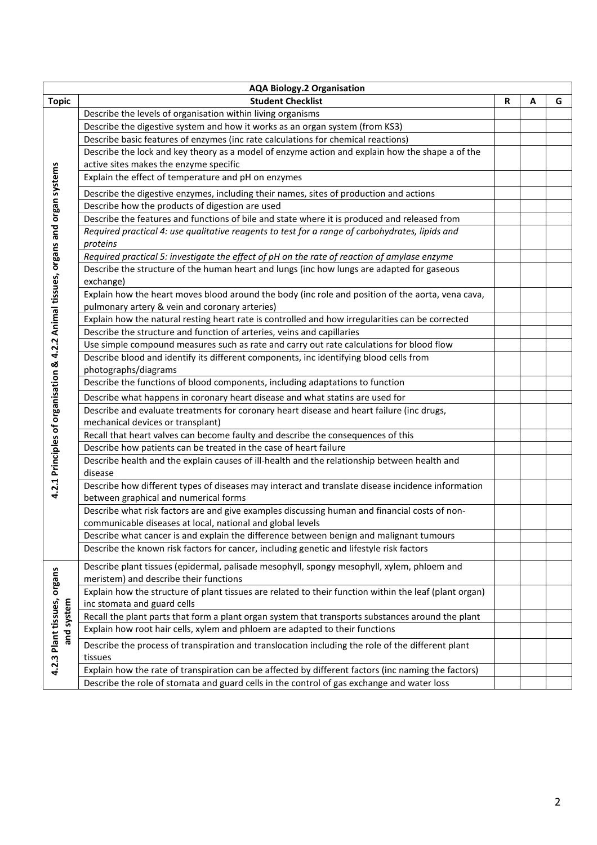| <b>AQA Biology.2 Organisation</b>                                                 |                                                                                                        |   |   |   |  |  |
|-----------------------------------------------------------------------------------|--------------------------------------------------------------------------------------------------------|---|---|---|--|--|
| <b>Topic</b>                                                                      | <b>Student Checklist</b>                                                                               | R | A | G |  |  |
|                                                                                   | Describe the levels of organisation within living organisms                                            |   |   |   |  |  |
|                                                                                   | Describe the digestive system and how it works as an organ system (from KS3)                           |   |   |   |  |  |
|                                                                                   | Describe basic features of enzymes (inc rate calculations for chemical reactions)                      |   |   |   |  |  |
|                                                                                   | Describe the lock and key theory as a model of enzyme action and explain how the shape a of the        |   |   |   |  |  |
|                                                                                   | active sites makes the enzyme specific                                                                 |   |   |   |  |  |
|                                                                                   | Explain the effect of temperature and pH on enzymes                                                    |   |   |   |  |  |
|                                                                                   | Describe the digestive enzymes, including their names, sites of production and actions                 |   |   |   |  |  |
|                                                                                   | Describe how the products of digestion are used                                                        |   |   |   |  |  |
|                                                                                   | Describe the features and functions of bile and state where it is produced and released from           |   |   |   |  |  |
|                                                                                   | Required practical 4: use qualitative reagents to test for a range of carbohydrates, lipids and        |   |   |   |  |  |
|                                                                                   | proteins                                                                                               |   |   |   |  |  |
|                                                                                   | Required practical 5: investigate the effect of pH on the rate of reaction of amylase enzyme           |   |   |   |  |  |
|                                                                                   | Describe the structure of the human heart and lungs (inc how lungs are adapted for gaseous             |   |   |   |  |  |
|                                                                                   | exchange)                                                                                              |   |   |   |  |  |
|                                                                                   | Explain how the heart moves blood around the body (inc role and position of the aorta, vena cava,      |   |   |   |  |  |
|                                                                                   | pulmonary artery & vein and coronary arteries)                                                         |   |   |   |  |  |
|                                                                                   | Explain how the natural resting heart rate is controlled and how irregularities can be corrected       |   |   |   |  |  |
|                                                                                   | Describe the structure and function of arteries, veins and capillaries                                 |   |   |   |  |  |
|                                                                                   | Use simple compound measures such as rate and carry out rate calculations for blood flow               |   |   |   |  |  |
|                                                                                   | Describe blood and identify its different components, inc identifying blood cells from                 |   |   |   |  |  |
|                                                                                   | photographs/diagrams                                                                                   |   |   |   |  |  |
| 4.2.1 Principles of organisation & 4.2.2 Animal tissues, organs and organ systems | Describe the functions of blood components, including adaptations to function                          |   |   |   |  |  |
|                                                                                   | Describe what happens in coronary heart disease and what statins are used for                          |   |   |   |  |  |
|                                                                                   | Describe and evaluate treatments for coronary heart disease and heart failure (inc drugs,              |   |   |   |  |  |
|                                                                                   | mechanical devices or transplant)                                                                      |   |   |   |  |  |
|                                                                                   | Recall that heart valves can become faulty and describe the consequences of this                       |   |   |   |  |  |
|                                                                                   | Describe how patients can be treated in the case of heart failure                                      |   |   |   |  |  |
|                                                                                   | Describe health and the explain causes of ill-health and the relationship between health and           |   |   |   |  |  |
|                                                                                   | disease                                                                                                |   |   |   |  |  |
|                                                                                   | Describe how different types of diseases may interact and translate disease incidence information      |   |   |   |  |  |
|                                                                                   | between graphical and numerical forms                                                                  |   |   |   |  |  |
|                                                                                   | Describe what risk factors are and give examples discussing human and financial costs of non-          |   |   |   |  |  |
|                                                                                   | communicable diseases at local, national and global levels                                             |   |   |   |  |  |
|                                                                                   | Describe what cancer is and explain the difference between benign and malignant tumours                |   |   |   |  |  |
|                                                                                   | Describe the known risk factors for cancer, including genetic and lifestyle risk factors               |   |   |   |  |  |
| 4.2.3 Plant tissues, organs<br>and system                                         | Describe plant tissues (epidermal, palisade mesophyll, spongy mesophyll, xylem, phloem and             |   |   |   |  |  |
|                                                                                   | meristem) and describe their functions                                                                 |   |   |   |  |  |
|                                                                                   | Explain how the structure of plant tissues are related to their function within the leaf (plant organ) |   |   |   |  |  |
|                                                                                   | inc stomata and guard cells                                                                            |   |   |   |  |  |
|                                                                                   | Recall the plant parts that form a plant organ system that transports substances around the plant      |   |   |   |  |  |
|                                                                                   | Explain how root hair cells, xylem and phloem are adapted to their functions                           |   |   |   |  |  |
|                                                                                   | Describe the process of transpiration and translocation including the role of the different plant      |   |   |   |  |  |
|                                                                                   | tissues                                                                                                |   |   |   |  |  |
|                                                                                   | Explain how the rate of transpiration can be affected by different factors (inc naming the factors)    |   |   |   |  |  |
|                                                                                   | Describe the role of stomata and guard cells in the control of gas exchange and water loss             |   |   |   |  |  |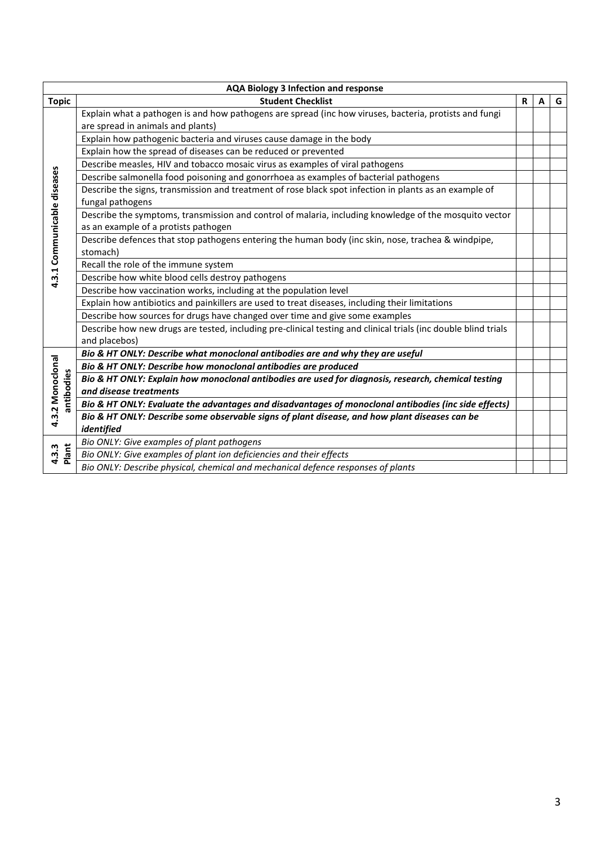| <b>AQA Biology 3 Infection and response</b> |                                                                                                                                                |   |   |   |
|---------------------------------------------|------------------------------------------------------------------------------------------------------------------------------------------------|---|---|---|
| <b>Topic</b>                                | <b>Student Checklist</b>                                                                                                                       | R | A | G |
|                                             | Explain what a pathogen is and how pathogens are spread (inc how viruses, bacteria, protists and fungi<br>are spread in animals and plants)    |   |   |   |
|                                             | Explain how pathogenic bacteria and viruses cause damage in the body                                                                           |   |   |   |
|                                             | Explain how the spread of diseases can be reduced or prevented                                                                                 |   |   |   |
|                                             | Describe measles, HIV and tobacco mosaic virus as examples of viral pathogens                                                                  |   |   |   |
|                                             | Describe salmonella food poisoning and gonorrhoea as examples of bacterial pathogens                                                           |   |   |   |
| 4.3.1 Communicable diseases                 | Describe the signs, transmission and treatment of rose black spot infection in plants as an example of<br>fungal pathogens                     |   |   |   |
|                                             | Describe the symptoms, transmission and control of malaria, including knowledge of the mosquito vector<br>as an example of a protists pathogen |   |   |   |
|                                             | Describe defences that stop pathogens entering the human body (inc skin, nose, trachea & windpipe,                                             |   |   |   |
|                                             | stomach)                                                                                                                                       |   |   |   |
|                                             | Recall the role of the immune system                                                                                                           |   |   |   |
|                                             | Describe how white blood cells destroy pathogens                                                                                               |   |   |   |
|                                             | Describe how vaccination works, including at the population level                                                                              |   |   |   |
|                                             | Explain how antibiotics and painkillers are used to treat diseases, including their limitations                                                |   |   |   |
|                                             | Describe how sources for drugs have changed over time and give some examples                                                                   |   |   |   |
|                                             | Describe how new drugs are tested, including pre-clinical testing and clinical trials (inc double blind trials<br>and placebos)                |   |   |   |
| 4.3.2 Monoclonal<br>antibodies              | Bio & HT ONLY: Describe what monoclonal antibodies are and why they are useful                                                                 |   |   |   |
|                                             | Bio & HT ONLY: Describe how monoclonal antibodies are produced                                                                                 |   |   |   |
|                                             | Bio & HT ONLY: Explain how monoclonal antibodies are used for diagnosis, research, chemical testing                                            |   |   |   |
|                                             | and disease treatments                                                                                                                         |   |   |   |
|                                             | Bio & HT ONLY: Evaluate the advantages and disadvantages of monoclonal antibodies (inc side effects)                                           |   |   |   |
|                                             | Bio & HT ONLY: Describe some observable signs of plant disease, and how plant diseases can be                                                  |   |   |   |
|                                             | identified                                                                                                                                     |   |   |   |
| Plant<br>4.3.3                              | Bio ONLY: Give examples of plant pathogens                                                                                                     |   |   |   |
|                                             | Bio ONLY: Give examples of plant ion deficiencies and their effects                                                                            |   |   |   |
|                                             | Bio ONLY: Describe physical, chemical and mechanical defence responses of plants                                                               |   |   |   |